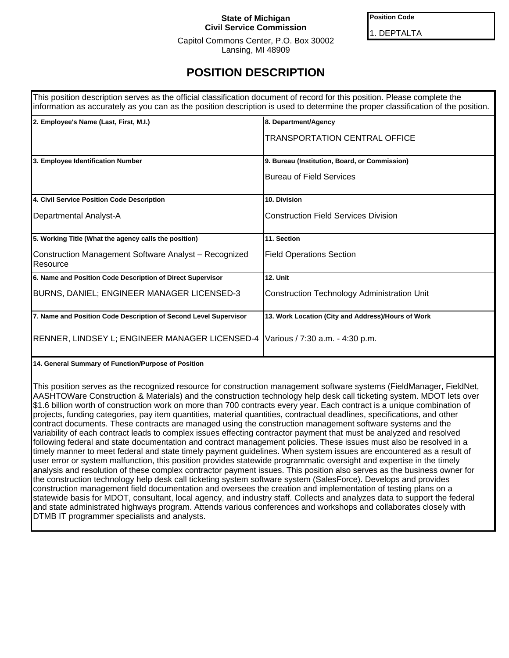### **State of Michigan Civil Service Commission**

**Position Code**

1. DEPTALTA

Capitol Commons Center, P.O. Box 30002 Lansing, MI 48909

# **POSITION DESCRIPTION**

| This position description serves as the official classification document of record for this position. Please complete the<br>information as accurately as you can as the position description is used to determine the proper classification of the position. |                                                    |  |  |
|---------------------------------------------------------------------------------------------------------------------------------------------------------------------------------------------------------------------------------------------------------------|----------------------------------------------------|--|--|
| 2. Employee's Name (Last, First, M.I.)                                                                                                                                                                                                                        | 8. Department/Agency                               |  |  |
|                                                                                                                                                                                                                                                               | <b>TRANSPORTATION CENTRAL OFFICE</b>               |  |  |
| 3. Employee Identification Number                                                                                                                                                                                                                             | 9. Bureau (Institution, Board, or Commission)      |  |  |
|                                                                                                                                                                                                                                                               | <b>Bureau of Field Services</b>                    |  |  |
| 4. Civil Service Position Code Description                                                                                                                                                                                                                    | 10. Division                                       |  |  |
| Departmental Analyst-A                                                                                                                                                                                                                                        | <b>Construction Field Services Division</b>        |  |  |
| 5. Working Title (What the agency calls the position)                                                                                                                                                                                                         | 11. Section                                        |  |  |
| Construction Management Software Analyst - Recognized<br>Resource                                                                                                                                                                                             | <b>Field Operations Section</b>                    |  |  |
| 6. Name and Position Code Description of Direct Supervisor                                                                                                                                                                                                    | <b>12. Unit</b>                                    |  |  |
| BURNS, DANIEL; ENGINEER MANAGER LICENSED-3                                                                                                                                                                                                                    | <b>Construction Technology Administration Unit</b> |  |  |
| 7. Name and Position Code Description of Second Level Supervisor                                                                                                                                                                                              | 13. Work Location (City and Address)/Hours of Work |  |  |
| RENNER, LINDSEY L; ENGINEER MANAGER LICENSED-4                                                                                                                                                                                                                | Various / 7:30 a.m. - 4:30 p.m.                    |  |  |

**14. General Summary of Function/Purpose of Position**

This position serves as the recognized resource for construction management software systems (FieldManager, FieldNet, AASHTOWare Construction & Materials) and the construction technology help desk call ticketing system. MDOT lets over \$1.6 billion worth of construction work on more than 700 contracts every year. Each contract is a unique combination of projects, funding categories, pay item quantities, material quantities, contractual deadlines, specifications, and other contract documents. These contracts are managed using the construction management software systems and the variability of each contract leads to complex issues effecting contractor payment that must be analyzed and resolved following federal and state documentation and contract management policies. These issues must also be resolved in a timely manner to meet federal and state timely payment guidelines. When system issues are encountered as a result of user error or system malfunction, this position provides statewide programmatic oversight and expertise in the timely analysis and resolution of these complex contractor payment issues. This position also serves as the business owner for the construction technology help desk call ticketing system software system (SalesForce). Develops and provides construction management field documentation and oversees the creation and implementation of testing plans on a statewide basis for MDOT, consultant, local agency, and industry staff. Collects and analyzes data to support the federal and state administrated highways program. Attends various conferences and workshops and collaborates closely with DTMB IT programmer specialists and analysts.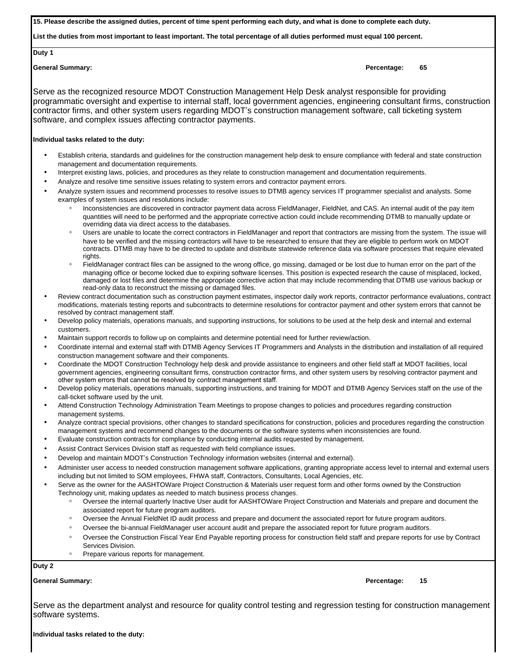**15. Please describe the assigned duties, percent of time spent performing each duty, and what is done to complete each duty.**

**List the duties from most important to least important. The total percentage of all duties performed must equal 100 percent.**

**Duty 1**

**General Summary: Percentage: 65**

Serve as the recognized resource MDOT Construction Management Help Desk analyst responsible for providing programmatic oversight and expertise to internal staff, local government agencies, engineering consultant firms, construction contractor firms, and other system users regarding MDOT's construction management software, call ticketing system software, and complex issues affecting contractor payments.

#### **Individual tasks related to the duty:**

- Establish criteria, standards and guidelines for the construction management help desk to ensure compliance with federal and state construction management and documentation requirements.
- Interpret existing laws, policies, and procedures as they relate to construction management and documentation requirements.
- Analyze and resolve time sensitive issues relating to system errors and contractor payment errors.
- Analyze system issues and recommend processes to resolve issues to DTMB agency services IT programmer specialist and analysts. Some examples of system issues and resolutions include:
	- Inconsistencies are discovered in contractor payment data across FieldManager, FieldNet, and CAS. An internal audit of the pay item quantities will need to be performed and the appropriate corrective action could include recommending DTMB to manually update or overriding data via direct access to the databases.
	- Users are unable to locate the correct contractors in FieldManager and report that contractors are missing from the system. The issue will have to be verified and the missing contractors will have to be researched to ensure that they are eligible to perform work on MDOT contracts. DTMB may have to be directed to update and distribute statewide reference data via software processes that require elevated rights.
	- FieldManager contract files can be assigned to the wrong office, go missing, damaged or be lost due to human error on the part of the managing office or become locked due to expiring software licenses. This position is expected research the cause of misplaced, locked, damaged or lost files and determine the appropriate corrective action that may include recommending that DTMB use various backup or read-only data to reconstruct the missing or damaged files.
- Review contract documentation such as construction payment estimates, inspector daily work reports, contractor performance evaluations, contract modifications, materials testing reports and subcontracts to determine resolutions for contractor payment and other system errors that cannot be resolved by contract management staff.
- Develop policy materials, operations manuals, and supporting instructions, for solutions to be used at the help desk and internal and external customers.
- Maintain support records to follow up on complaints and determine potential need for further review/action.
- Coordinate internal and external staff with DTMB Agency Services IT Programmers and Analysts in the distribution and installation of all required construction management software and their components.
- Coordinate the MDOT Construction Technology help desk and provide assistance to engineers and other field staff at MDOT facilities, local government agencies, engineering consultant firms, construction contractor firms, and other system users by resolving contractor payment and other system errors that cannot be resolved by contract management staff.
- Develop policy materials, operations manuals, supporting instructions, and training for MDOT and DTMB Agency Services staff on the use of the call-ticket software used by the unit.
- Attend Construction Technology Administration Team Meetings to propose changes to policies and procedures regarding construction management systems.
- Analyze contract special provisions, other changes to standard specifications for construction, policies and procedures regarding the construction management systems and recommend changes to the documents or the software systems when inconsistencies are found.
- Evaluate construction contracts for compliance by conducting internal audits requested by management.
- Assist Contract Services Division staff as requested with field compliance issues.
- Develop and maintain MDOT's Construction Technology information websites (internal and external).

• Administer user access to needed construction management software applications, granting appropriate access level to internal and external users including but not limited to SOM employees, FHWA staff, Contractors, Consultants, Local Agencies, etc.

- Serve as the owner for the AASHTOWare Project Construction & Materials user request form and other forms owned by the Construction Technology unit, making updates as needed to match business process changes.
	- Oversee the internal quarterly Inactive User audit for AASHTOWare Project Construction and Materials and prepare and document the associated report for future program auditors.
	- Oversee the Annual FieldNet ID audit process and prepare and document the associated report for future program auditors.
	- Oversee the bi-annual FieldManager user account audit and prepare the associated report for future program auditors.
	- Oversee the Construction Fiscal Year End Payable reporting process for construction field staff and prepare reports for use by Contract Services Division.
	- Prepare various reports for management.

**Duty 2**

**General Summary: Percentage: 15**

Serve as the department analyst and resource for quality control testing and regression testing for construction management software systems.

**Individual tasks related to the duty:**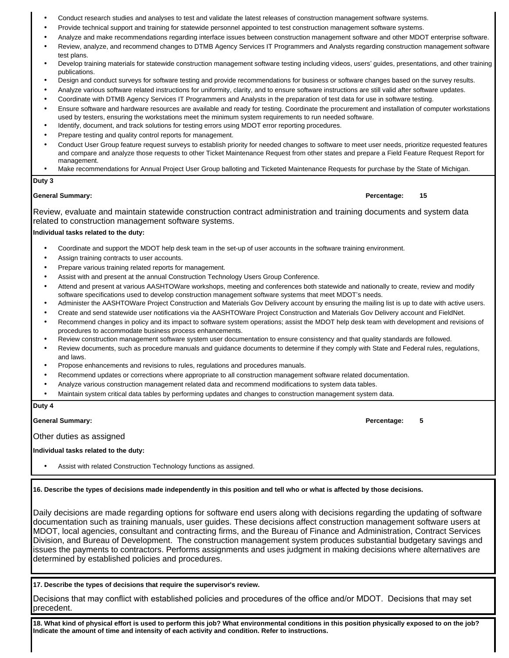- Conduct research studies and analyses to test and validate the latest releases of construction management software systems.
- Provide technical support and training for statewide personnel appointed to test construction management software systems.
- Analyze and make recommendations regarding interface issues between construction management software and other MDOT enterprise software. • Review, analyze, and recommend changes to DTMB Agency Services IT Programmers and Analysts regarding construction management software
- test plans. • Develop training materials for statewide construction management software testing including videos, users' guides, presentations, and other training publications.
- Design and conduct surveys for software testing and provide recommendations for business or software changes based on the survey results.
- Analyze various software related instructions for uniformity, clarity, and to ensure software instructions are still valid after software updates.
- Coordinate with DTMB Agency Services IT Programmers and Analysts in the preparation of test data for use in software testing.
- Ensure software and hardware resources are available and ready for testing. Coordinate the procurement and installation of computer workstations used by testers, ensuring the workstations meet the minimum system requirements to run needed software.
- Identify, document, and track solutions for testing errors using MDOT error reporting procedures.
- Prepare testing and quality control reports for management.
- Conduct User Group feature request surveys to establish priority for needed changes to software to meet user needs, prioritize requested features and compare and analyze those requests to other Ticket Maintenance Request from other states and prepare a Field Feature Request Report for management.
- Make recommendations for Annual Project User Group balloting and Ticketed Maintenance Requests for purchase by the State of Michigan.

#### **Duty 3**

#### **General Summary: Percentage: 15**

Review, evaluate and maintain statewide construction contract administration and training documents and system data related to construction management software systems.

#### **Individual tasks related to the duty:**

- Coordinate and support the MDOT help desk team in the set-up of user accounts in the software training environment.
- Assign training contracts to user accounts.
- Prepare various training related reports for management.
- Assist with and present at the annual Construction Technology Users Group Conference.
- Attend and present at various AASHTOWare workshops, meeting and conferences both statewide and nationally to create, review and modify software specifications used to develop construction management software systems that meet MDOT's needs.
- Administer the AASHTOWare Project Construction and Materials Gov Delivery account by ensuring the mailing list is up to date with active users.
- Create and send statewide user notifications via the AASHTOWare Project Construction and Materials Gov Delivery account and FieldNet.
- Recommend changes in policy and its impact to software system operations; assist the MDOT help desk team with development and revisions of procedures to accommodate business process enhancements.
- Review construction management software system user documentation to ensure consistency and that quality standards are followed.
- Review documents, such as procedure manuals and guidance documents to determine if they comply with State and Federal rules, regulations, and laws.
- Propose enhancements and revisions to rules, regulations and procedures manuals.
- Recommend updates or corrections where appropriate to all construction management software related documentation.
- Analyze various construction management related data and recommend modifications to system data tables.
- Maintain system critical data tables by performing updates and changes to construction management system data.

#### **Duty 4**

#### **General Summary: Percentage: 5**

Other duties as assigned

#### **Individual tasks related to the duty:**

Assist with related Construction Technology functions as assigned.

**16. Describe the types of decisions made independently in this position and tell who or what is affected by those decisions.** 

Daily decisions are made regarding options for software end users along with decisions regarding the updating of software documentation such as training manuals, user guides. These decisions affect construction management software users at MDOT, local agencies, consultant and contracting firms, and the Bureau of Finance and Administration, Contract Services Division, and Bureau of Development. The construction management system produces substantial budgetary savings and issues the payments to contractors. Performs assignments and uses judgment in making decisions where alternatives are determined by established policies and procedures.

**17. Describe the types of decisions that require the supervisor's review.** 

Decisions that may conflict with established policies and procedures of the office and/or MDOT. Decisions that may set precedent.

**18. What kind of physical effort is used to perform this job? What environmental conditions in this position physically exposed to on the job? Indicate the amount of time and intensity of each activity and condition. Refer to instructions.**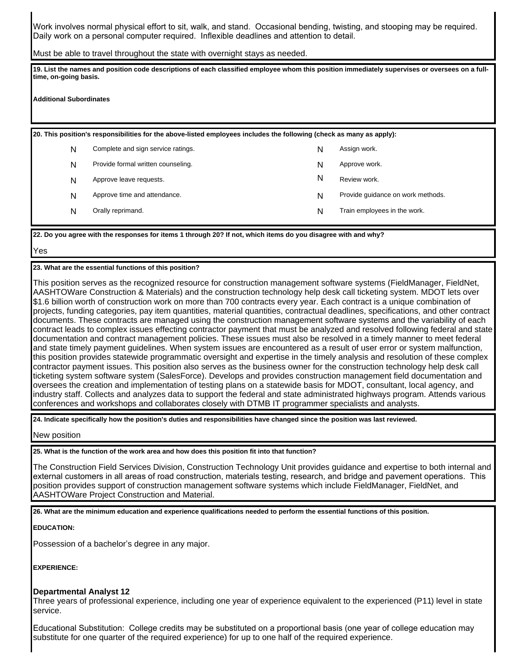Work involves normal physical effort to sit, walk, and stand. Occasional bending, twisting, and stooping may be required. Daily work on a personal computer required. Inflexible deadlines and attention to detail.

Must be able to travel throughout the state with overnight stays as needed.

**19. List the names and position code descriptions of each classified employee whom this position immediately supervises or oversees on a fulltime, on-going basis.**

**Additional Subordinates**

**20. This position's responsibilities for the above-listed employees includes the following (check as many as apply):**

| N | Complete and sign service ratings. | N | Assign work.                      |
|---|------------------------------------|---|-----------------------------------|
| N | Provide formal written counseling. | N | Approve work.                     |
| N | Approve leave requests.            | N | Review work.                      |
| N | Approve time and attendance.       | N | Provide quidance on work methods. |
| N | Orally reprimand.                  | N | Train employees in the work.      |

**22. Do you agree with the responses for items 1 through 20? If not, which items do you disagree with and why?**

Yes

**23. What are the essential functions of this position?**

This position serves as the recognized resource for construction management software systems (FieldManager, FieldNet, AASHTOWare Construction & Materials) and the construction technology help desk call ticketing system. MDOT lets over \$1.6 billion worth of construction work on more than 700 contracts every year. Each contract is a unique combination of projects, funding categories, pay item quantities, material quantities, contractual deadlines, specifications, and other contract documents. These contracts are managed using the construction management software systems and the variability of each contract leads to complex issues effecting contractor payment that must be analyzed and resolved following federal and state documentation and contract management policies. These issues must also be resolved in a timely manner to meet federal and state timely payment guidelines. When system issues are encountered as a result of user error or system malfunction, this position provides statewide programmatic oversight and expertise in the timely analysis and resolution of these complex contractor payment issues. This position also serves as the business owner for the construction technology help desk call ticketing system software system (SalesForce). Develops and provides construction management field documentation and oversees the creation and implementation of testing plans on a statewide basis for MDOT, consultant, local agency, and industry staff. Collects and analyzes data to support the federal and state administrated highways program. Attends various conferences and workshops and collaborates closely with DTMB IT programmer specialists and analysts.

**24. Indicate specifically how the position's duties and responsibilities have changed since the position was last reviewed.**

New position

**25. What is the function of the work area and how does this position fit into that function?**

The Construction Field Services Division, Construction Technology Unit provides guidance and expertise to both internal and external customers in all areas of road construction, materials testing, research, and bridge and pavement operations. This position provides support of construction management software systems which include FieldManager, FieldNet, and AASHTOWare Project Construction and Material.

**26. What are the minimum education and experience qualifications needed to perform the essential functions of this position.**

**EDUCATION:**

Possession of a bachelor's degree in any major.

**EXPERIENCE:**

### **Departmental Analyst 12**

Three years of professional experience, including one year of experience equivalent to the experienced (P11) level in state service.

Educational Substitution: College credits may be substituted on a proportional basis (one year of college education may substitute for one quarter of the required experience) for up to one half of the required experience.